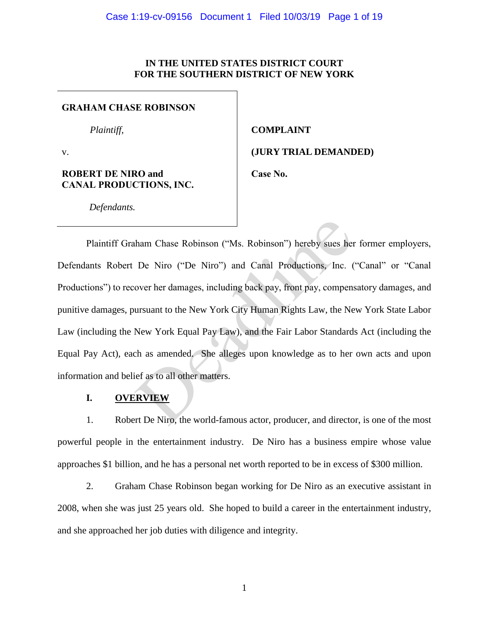# **IN THE UNITED STATES DISTRICT COURT FOR THE SOUTHERN DISTRICT OF NEW YORK**

# **GRAHAM CHASE ROBINSON**

*Plaintiff,*

v.

# **ROBERT DE NIRO and CANAL PRODUCTIONS, INC.**

# **COMPLAINT**

**(JURY TRIAL DEMANDED)**

**Case No.** 

*Defendants.*

Plaintiff Graham Chase Robinson ("Ms. Robinson") hereby sues her former employers, Defendants Robert De Niro ("De Niro") and Canal Productions, Inc. ("Canal" or "Canal Productions") to recover her damages, including back pay, front pay, compensatory damages, and punitive damages, pursuant to the New York City Human Rights Law, the New York State Labor Law (including the New York Equal Pay Law), and the Fair Labor Standards Act (including the Equal Pay Act), each as amended. She alleges upon knowledge as to her own acts and upon information and belief as to all other matters. ham Chase Robinson ("Ms. Robinson") hereby sues her<br>De Niro ("De Niro") and Canal Productions, Inc. (<br>over her damages, including back pay, front pay, compens<br>ursuant to the New York City Human Rights Law, the Ne<br>New York

# **I. OVERVIEW**

1. Robert De Niro, the world-famous actor, producer, and director, is one of the most powerful people in the entertainment industry. De Niro has a business empire whose value approaches \$1 billion, and he has a personal net worth reported to be in excess of \$300 million.

2. Graham Chase Robinson began working for De Niro as an executive assistant in 2008, when she was just 25 years old. She hoped to build a career in the entertainment industry, and she approached her job duties with diligence and integrity.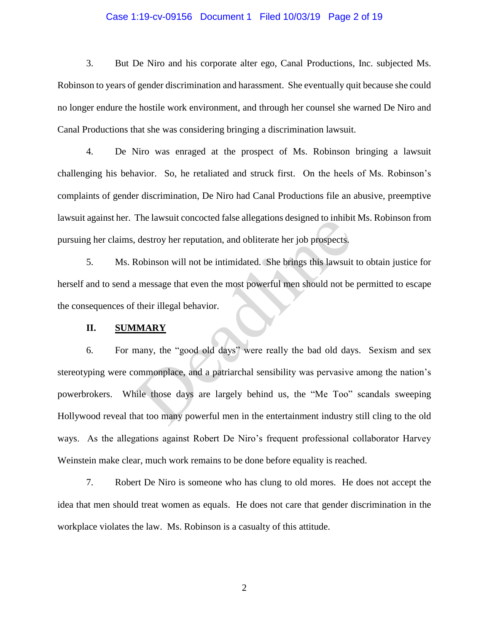#### Case 1:19-cv-09156 Document 1 Filed 10/03/19 Page 2 of 19

3. But De Niro and his corporate alter ego, Canal Productions, Inc. subjected Ms. Robinson to years of gender discrimination and harassment. She eventually quit because she could no longer endure the hostile work environment, and through her counsel she warned De Niro and Canal Productions that she was considering bringing a discrimination lawsuit.

4. De Niro was enraged at the prospect of Ms. Robinson bringing a lawsuit challenging his behavior. So, he retaliated and struck first. On the heels of Ms. Robinson's complaints of gender discrimination, De Niro had Canal Productions file an abusive, preemptive lawsuit against her. The lawsuit concocted false allegations designed to inhibit Ms. Robinson from pursuing her claims, destroy her reputation, and obliterate her job prospects.

5. Ms. Robinson will not be intimidated. She brings this lawsuit to obtain justice for herself and to send a message that even the most powerful men should not be permitted to escape the consequences of their illegal behavior.

## **II. SUMMARY**

6. For many, the "good old days" were really the bad old days. Sexism and sex stereotyping were commonplace, and a patriarchal sensibility was pervasive among the nation's powerbrokers. While those days are largely behind us, the "Me Too" scandals sweeping Hollywood reveal that too many powerful men in the entertainment industry still cling to the old ways. As the allegations against Robert De Niro's frequent professional collaborator Harvey Weinstein make clear, much work remains to be done before equality is reached. The rawsurt concocted raise anegations designed to minimal<br>destroy her reputation, and obliterate her job prospects.<br>Robinson will not be intimidated. She brings this lawsuit<br>a message that even the most powerful men shoul

7. Robert De Niro is someone who has clung to old mores. He does not accept the idea that men should treat women as equals. He does not care that gender discrimination in the workplace violates the law. Ms. Robinson is a casualty of this attitude.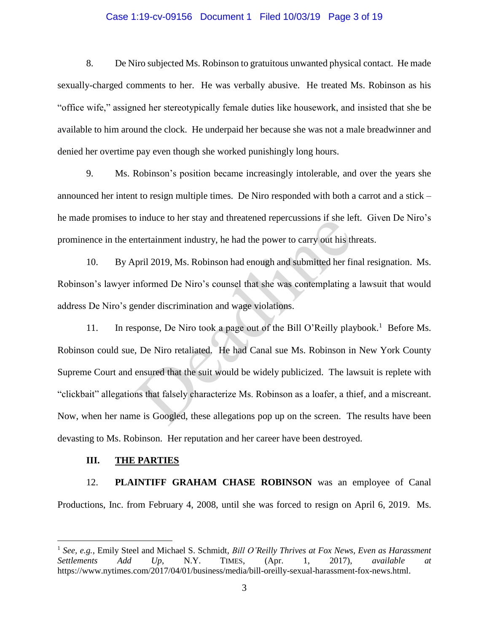#### Case 1:19-cv-09156 Document 1 Filed 10/03/19 Page 3 of 19

8. De Niro subjected Ms. Robinson to gratuitous unwanted physical contact. He made sexually-charged comments to her. He was verbally abusive. He treated Ms. Robinson as his "office wife," assigned her stereotypically female duties like housework, and insisted that she be available to him around the clock. He underpaid her because she was not a male breadwinner and denied her overtime pay even though she worked punishingly long hours.

9. Ms. Robinson's position became increasingly intolerable, and over the years she announced her intent to resign multiple times. De Niro responded with both a carrot and a stick – he made promises to induce to her stay and threatened repercussions if she left. Given De Niro's prominence in the entertainment industry, he had the power to carry out his threats.

10. By April 2019, Ms. Robinson had enough and submitted her final resignation. Ms. Robinson's lawyer informed De Niro's counsel that she was contemplating a lawsuit that would address De Niro's gender discrimination and wage violations.

11. In response, De Niro took a page out of the Bill O'Reilly playbook.<sup>1</sup> Before Ms. Robinson could sue, De Niro retaliated. He had Canal sue Ms. Robinson in New York County Supreme Court and ensured that the suit would be widely publicized. The lawsuit is replete with "clickbait" allegations that falsely characterize Ms. Robinson as a loafer, a thief, and a miscreant. Now, when her name is Googled, these allegations pop up on the screen. The results have been devasting to Ms. Robinson. Her reputation and her career have been destroyed. Induce to liet stay and inteatened repercussions if site is<br>therefainment industry, he had the power to carry out his th<br>pril 2019, Ms. Robinson had enough and submitted her fit<br>informed De Niro's counsel that she was cont

#### **III. THE PARTIES**

 $\overline{\phantom{a}}$ 

12. **PLAINTIFF GRAHAM CHASE ROBINSON** was an employee of Canal Productions, Inc. from February 4, 2008, until she was forced to resign on April 6, 2019. Ms.

<sup>1</sup> *See, e.g.*, Emily Steel and Michael S. Schmidt, *Bill O'Reilly Thrives at Fox News, Even as Harassment Settlements Add Up*, N.Y. TIMES, (Apr. 1, 2017), *available at*  https://www.nytimes.com/2017/04/01/business/media/bill-oreilly-sexual-harassment-fox-news.html.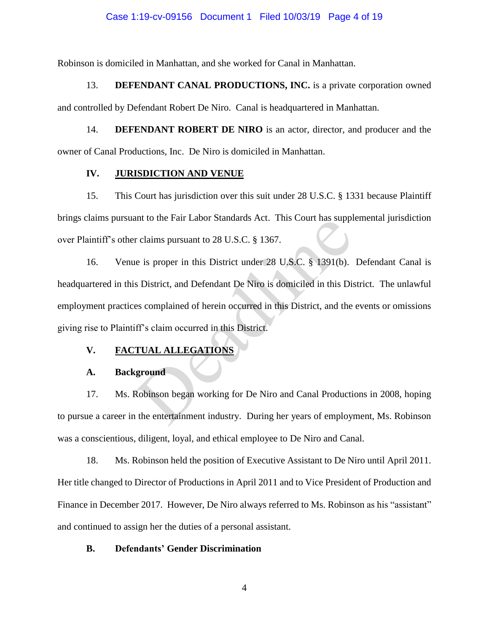## Case 1:19-cv-09156 Document 1 Filed 10/03/19 Page 4 of 19

Robinson is domiciled in Manhattan, and she worked for Canal in Manhattan.

13. **DEFENDANT CANAL PRODUCTIONS, INC.** is a private corporation owned

and controlled by Defendant Robert De Niro. Canal is headquartered in Manhattan.

14. **DEFENDANT ROBERT DE NIRO** is an actor, director, and producer and the owner of Canal Productions, Inc. De Niro is domiciled in Manhattan.

## **IV. JURISDICTION AND VENUE**

15. This Court has jurisdiction over this suit under 28 U.S.C. § 1331 because Plaintiff brings claims pursuant to the Fair Labor Standards Act. This Court has supplemental jurisdiction over Plaintiff's other claims pursuant to 28 U.S.C. § 1367.

16. Venue is proper in this District under 28 U.S.C. § 1391(b). Defendant Canal is headquartered in this District, and Defendant De Niro is domiciled in this District. The unlawful employment practices complained of herein occurred in this District, and the events or omissions giving rise to Plaintiff's claim occurred in this District. In to the Fan Labor Standards Act. This Court has suppremented in this pursuant to 28 U.S.C. § 1367.<br>
Le is proper in this District under 28 U.S.C. § 1391(b).<br>
Solistrict, and Defendant De Niro is domiciled in this Distric

## **V. FACTUAL ALLEGATIONS**

## **A. Background**

17. Ms. Robinson began working for De Niro and Canal Productions in 2008, hoping to pursue a career in the entertainment industry. During her years of employment, Ms. Robinson was a conscientious, diligent, loyal, and ethical employee to De Niro and Canal.

18. Ms. Robinson held the position of Executive Assistant to De Niro until April 2011. Her title changed to Director of Productions in April 2011 and to Vice President of Production and Finance in December 2017. However, De Niro always referred to Ms. Robinson as his "assistant" and continued to assign her the duties of a personal assistant.

## **B. Defendants' Gender Discrimination**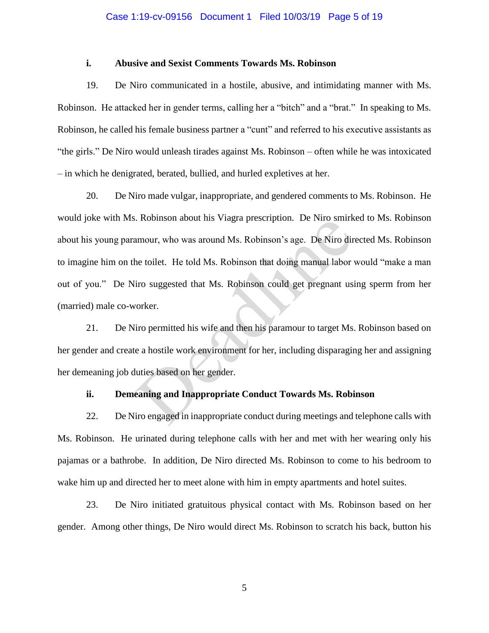#### Case 1:19-cv-09156 Document 1 Filed 10/03/19 Page 5 of 19

#### **i. Abusive and Sexist Comments Towards Ms. Robinson**

19. De Niro communicated in a hostile, abusive, and intimidating manner with Ms. Robinson. He attacked her in gender terms, calling her a "bitch" and a "brat." In speaking to Ms. Robinson, he called his female business partner a "cunt" and referred to his executive assistants as "the girls." De Niro would unleash tirades against Ms. Robinson – often while he was intoxicated – in which he denigrated, berated, bullied, and hurled expletives at her.

20. De Niro made vulgar, inappropriate, and gendered comments to Ms. Robinson. He would joke with Ms. Robinson about his Viagra prescription. De Niro smirked to Ms. Robinson about his young paramour, who was around Ms. Robinson's age. De Niro directed Ms. Robinson to imagine him on the toilet. He told Ms. Robinson that doing manual labor would "make a man out of you." De Niro suggested that Ms. Robinson could get pregnant using sperm from her (married) male co-worker. Reflection. De Niro Sinik<br>amour, who was around Ms. Robinson's age. De Niro dir<br>he toilet. He told Ms. Robinson that doing manual labor<br>iro suggested that Ms. Robinson could get pregnant us<br>yorker.<br>iro permitted his wife a

21. De Niro permitted his wife and then his paramour to target Ms. Robinson based on her gender and create a hostile work environment for her, including disparaging her and assigning her demeaning job duties based on her gender.

### **ii. Demeaning and Inappropriate Conduct Towards Ms. Robinson**

22. De Niro engaged in inappropriate conduct during meetings and telephone calls with Ms. Robinson. He urinated during telephone calls with her and met with her wearing only his pajamas or a bathrobe. In addition, De Niro directed Ms. Robinson to come to his bedroom to wake him up and directed her to meet alone with him in empty apartments and hotel suites.

23. De Niro initiated gratuitous physical contact with Ms. Robinson based on her gender. Among other things, De Niro would direct Ms. Robinson to scratch his back, button his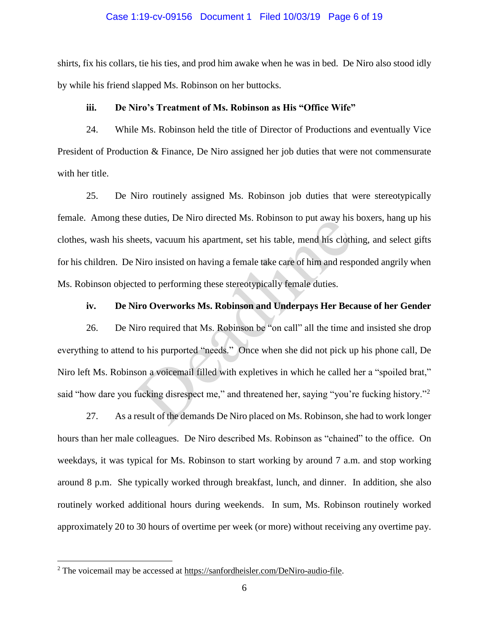#### Case 1:19-cv-09156 Document 1 Filed 10/03/19 Page 6 of 19

shirts, fix his collars, tie his ties, and prod him awake when he was in bed. De Niro also stood idly by while his friend slapped Ms. Robinson on her buttocks.

#### **iii. De Niro's Treatment of Ms. Robinson as His "Office Wife"**

24. While Ms. Robinson held the title of Director of Productions and eventually Vice President of Production & Finance, De Niro assigned her job duties that were not commensurate with her title.

25. De Niro routinely assigned Ms. Robinson job duties that were stereotypically female. Among these duties, De Niro directed Ms. Robinson to put away his boxers, hang up his clothes, wash his sheets, vacuum his apartment, set his table, mend his clothing, and select gifts for his children. De Niro insisted on having a female take care of him and responded angrily when Ms. Robinson objected to performing these stereotypically female duties.

## **iv. De Niro Overworks Ms. Robinson and Underpays Her Because of her Gender**

26. De Niro required that Ms. Robinson be "on call" all the time and insisted she drop everything to attend to his purported "needs." Once when she did not pick up his phone call, De Niro left Ms. Robinson a voicemail filled with expletives in which he called her a "spoiled brat," said "how dare you fucking disrespect me," and threatened her, saying "you're fucking history."<sup>2</sup> se duties, De Nifo directed Ms. Robinson to put away insetts, vacuum his apartment, set his table, mend his cloth<br>Niro insisted on having a female take care of him and resp<br>ted to performing these stereotypically female du

27. As a result of the demands De Niro placed on Ms. Robinson, she had to work longer hours than her male colleagues. De Niro described Ms. Robinson as "chained" to the office. On weekdays, it was typical for Ms. Robinson to start working by around 7 a.m. and stop working around 8 p.m. She typically worked through breakfast, lunch, and dinner. In addition, she also routinely worked additional hours during weekends. In sum, Ms. Robinson routinely worked approximately 20 to 30 hours of overtime per week (or more) without receiving any overtime pay.

 $\overline{a}$ 

<sup>&</sup>lt;sup>2</sup> The voicemail may be accessed at [https://sanfordheisler.com/DeNiro-audio-file.](https://sanfordheisler.com/DeNiro-audio-file)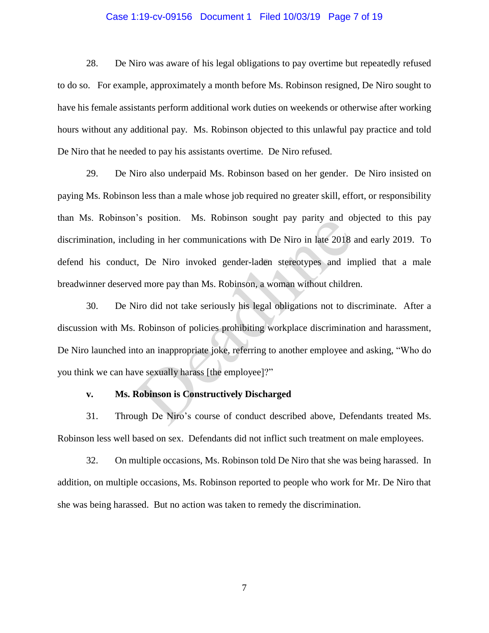#### Case 1:19-cv-09156 Document 1 Filed 10/03/19 Page 7 of 19

28. De Niro was aware of his legal obligations to pay overtime but repeatedly refused to do so. For example, approximately a month before Ms. Robinson resigned, De Niro sought to have his female assistants perform additional work duties on weekends or otherwise after working hours without any additional pay. Ms. Robinson objected to this unlawful pay practice and told De Niro that he needed to pay his assistants overtime. De Niro refused.

29. De Niro also underpaid Ms. Robinson based on her gender. De Niro insisted on paying Ms. Robinson less than a male whose job required no greater skill, effort, or responsibility than Ms. Robinson's position. Ms. Robinson sought pay parity and objected to this pay discrimination, including in her communications with De Niro in late 2018 and early 2019. To defend his conduct, De Niro invoked gender-laden stereotypes and implied that a male breadwinner deserved more pay than Ms. Robinson, a woman without children.

30. De Niro did not take seriously his legal obligations not to discriminate. After a discussion with Ms. Robinson of policies prohibiting workplace discrimination and harassment, De Niro launched into an inappropriate joke, referring to another employee and asking, "Who do you think we can have sexually harass [the employee]?" Is position. Was. Robinson sought pay partly and of<br>uding in her communications with De Niro in late 2018<br>t, De Niro invoked gender-laden stereotypes and in<br>ed more pay than Ms. Robinson, a woman without childre<br>liro did n

# **v. Ms. Robinson is Constructively Discharged**

31. Through De Niro's course of conduct described above, Defendants treated Ms. Robinson less well based on sex. Defendants did not inflict such treatment on male employees.

32. On multiple occasions, Ms. Robinson told De Niro that she was being harassed. In addition, on multiple occasions, Ms. Robinson reported to people who work for Mr. De Niro that she was being harassed. But no action was taken to remedy the discrimination.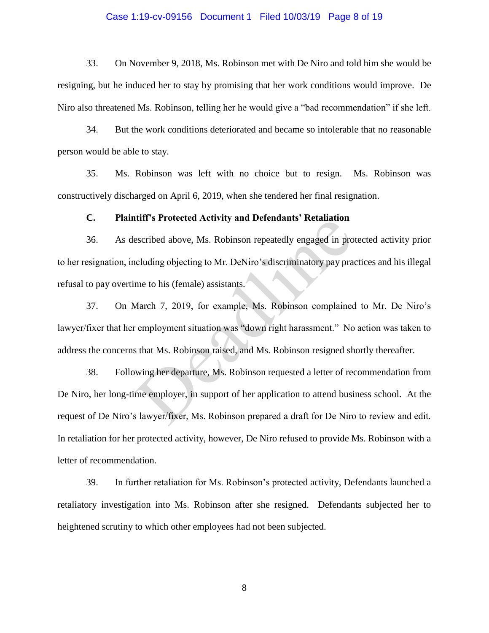#### Case 1:19-cv-09156 Document 1 Filed 10/03/19 Page 8 of 19

33. On November 9, 2018, Ms. Robinson met with De Niro and told him she would be resigning, but he induced her to stay by promising that her work conditions would improve. De Niro also threatened Ms. Robinson, telling her he would give a "bad recommendation" if she left.

34. But the work conditions deteriorated and became so intolerable that no reasonable person would be able to stay.

35. Ms. Robinson was left with no choice but to resign. Ms. Robinson was constructively discharged on April 6, 2019, when she tendered her final resignation.

#### **C. Plaintiff's Protected Activity and Defendants' Retaliation**

36. As described above, Ms. Robinson repeatedly engaged in protected activity prior to her resignation, including objecting to Mr. DeNiro's discriminatory pay practices and his illegal refusal to pay overtime to his (female) assistants.

37. On March 7, 2019, for example, Ms. Robinson complained to Mr. De Niro's lawyer/fixer that her employment situation was "down right harassment." No action was taken to address the concerns that Ms. Robinson raised, and Ms. Robinson resigned shortly thereafter.

38. Following her departure, Ms. Robinson requested a letter of recommendation from De Niro, her long-time employer, in support of her application to attend business school. At the request of De Niro's lawyer/fixer, Ms. Robinson prepared a draft for De Niro to review and edit. In retaliation for her protected activity, however, De Niro refused to provide Ms. Robinson with a letter of recommendation. escribed above, Ms. Robinson repeatedly engaged in procluding objecting to Mr. DeNiro's discriminatory pay pra<br>me to his (female) assistants.<br>March 7, 2019, for example, Ms. Robinson complained<br>employment situation was "do

39. In further retaliation for Ms. Robinson's protected activity, Defendants launched a retaliatory investigation into Ms. Robinson after she resigned. Defendants subjected her to heightened scrutiny to which other employees had not been subjected.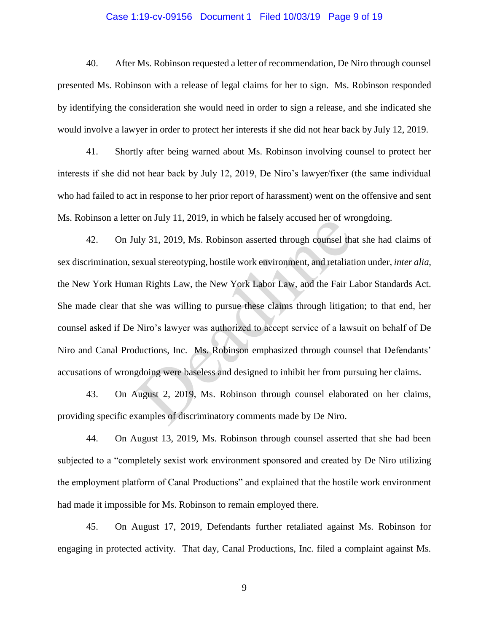#### Case 1:19-cv-09156 Document 1 Filed 10/03/19 Page 9 of 19

40. After Ms. Robinson requested a letter of recommendation, De Niro through counsel presented Ms. Robinson with a release of legal claims for her to sign. Ms. Robinson responded by identifying the consideration she would need in order to sign a release, and she indicated she would involve a lawyer in order to protect her interests if she did not hear back by July 12, 2019.

41. Shortly after being warned about Ms. Robinson involving counsel to protect her interests if she did not hear back by July 12, 2019, De Niro's lawyer/fixer (the same individual who had failed to act in response to her prior report of harassment) went on the offensive and sent Ms. Robinson a letter on July 11, 2019, in which he falsely accused her of wrongdoing.

42. On July 31, 2019, Ms. Robinson asserted through counsel that she had claims of sex discrimination, sexual stereotyping, hostile work environment, and retaliation under, *inter alia*, the New York Human Rights Law, the New York Labor Law, and the Fair Labor Standards Act. She made clear that she was willing to pursue these claims through litigation; to that end, her counsel asked if De Niro's lawyer was authorized to accept service of a lawsuit on behalf of De Niro and Canal Productions, Inc. Ms. Robinson emphasized through counsel that Defendants' accusations of wrongdoing were baseless and designed to inhibit her from pursuing her claims. about 1, 2019, the Market Handel through counsel that<br>ally 31, 2019, Ms. Robinson asserted through counsel that<br>an Rights Law, the New York Labor Law, and the Fair L<br>t she was willing to pursue these claims through litigat

43. On August 2, 2019, Ms. Robinson through counsel elaborated on her claims, providing specific examples of discriminatory comments made by De Niro.

44. On August 13, 2019, Ms. Robinson through counsel asserted that she had been subjected to a "completely sexist work environment sponsored and created by De Niro utilizing the employment platform of Canal Productions" and explained that the hostile work environment had made it impossible for Ms. Robinson to remain employed there.

45. On August 17, 2019, Defendants further retaliated against Ms. Robinson for engaging in protected activity. That day, Canal Productions, Inc. filed a complaint against Ms.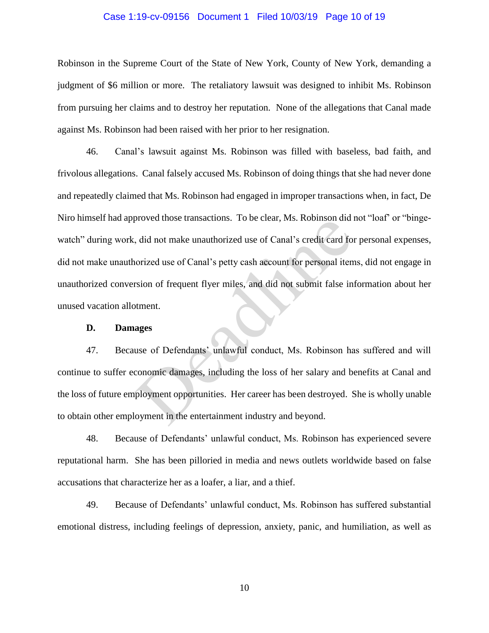#### Case 1:19-cv-09156 Document 1 Filed 10/03/19 Page 10 of 19

Robinson in the Supreme Court of the State of New York, County of New York, demanding a judgment of \$6 million or more. The retaliatory lawsuit was designed to inhibit Ms. Robinson from pursuing her claims and to destroy her reputation. None of the allegations that Canal made against Ms. Robinson had been raised with her prior to her resignation.

46. Canal's lawsuit against Ms. Robinson was filled with baseless, bad faith, and frivolous allegations. Canal falsely accused Ms. Robinson of doing things that she had never done and repeatedly claimed that Ms. Robinson had engaged in improper transactions when, in fact, De Niro himself had approved those transactions. To be clear, Ms. Robinson did not "loaf' or "bingewatch" during work, did not make unauthorized use of Canal's credit card for personal expenses, did not make unauthorized use of Canal's petty cash account for personal items, did not engage in unauthorized conversion of frequent flyer miles, and did not submit false information about her unused vacation allotment. rowed those transactions. To be clear, MS. Robinson during the discussion of the unauthorized use of Canal's credit card for orized use of Canal's petty cash account for personal iterration of frequent flyer miles, and did

## **D. Damages**

47. Because of Defendants' unlawful conduct, Ms. Robinson has suffered and will continue to suffer economic damages, including the loss of her salary and benefits at Canal and the loss of future employment opportunities. Her career has been destroyed. She is wholly unable to obtain other employment in the entertainment industry and beyond.

48. Because of Defendants' unlawful conduct, Ms. Robinson has experienced severe reputational harm. She has been pilloried in media and news outlets worldwide based on false accusations that characterize her as a loafer, a liar, and a thief.

49. Because of Defendants' unlawful conduct, Ms. Robinson has suffered substantial emotional distress, including feelings of depression, anxiety, panic, and humiliation, as well as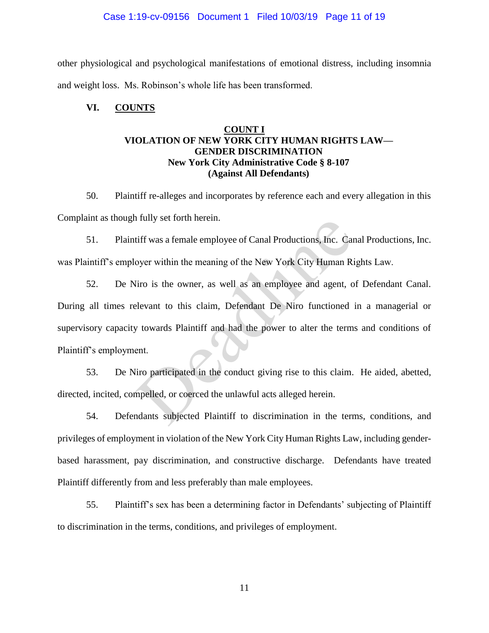### Case 1:19-cv-09156 Document 1 Filed 10/03/19 Page 11 of 19

other physiological and psychological manifestations of emotional distress, including insomnia and weight loss. Ms. Robinson's whole life has been transformed.

# **VI. COUNTS**

# **COUNT I VIOLATION OF NEW YORK CITY HUMAN RIGHTS LAW— GENDER DISCRIMINATION New York City Administrative Code § 8-107 (Against All Defendants)**

50. Plaintiff re-alleges and incorporates by reference each and every allegation in this Complaint as though fully set forth herein.

51. Plaintiff was a female employee of Canal Productions, Inc. Canal Productions, Inc. was Plaintiff's employer within the meaning of the New York City Human Rights Law.

52. De Niro is the owner, as well as an employee and agent, of Defendant Canal. During all times relevant to this claim, Defendant De Niro functioned in a managerial or supervisory capacity towards Plaintiff and had the power to alter the terms and conditions of Plaintiff's employment. Thury set fold interem.<br>
tiff was a female employee of Canal Productions, Inc. Car<br>
oyer within the meaning of the New York City Human Ri<br>
liro is the owner, as well as an employee and agent, o<br>
elevant to this claim, Defe

53. De Niro participated in the conduct giving rise to this claim. He aided, abetted, directed, incited, compelled, or coerced the unlawful acts alleged herein.

54. Defendants subjected Plaintiff to discrimination in the terms, conditions, and privileges of employment in violation of the New York City Human Rights Law, including genderbased harassment, pay discrimination, and constructive discharge. Defendants have treated Plaintiff differently from and less preferably than male employees.

55. Plaintiff's sex has been a determining factor in Defendants' subjecting of Plaintiff to discrimination in the terms, conditions, and privileges of employment.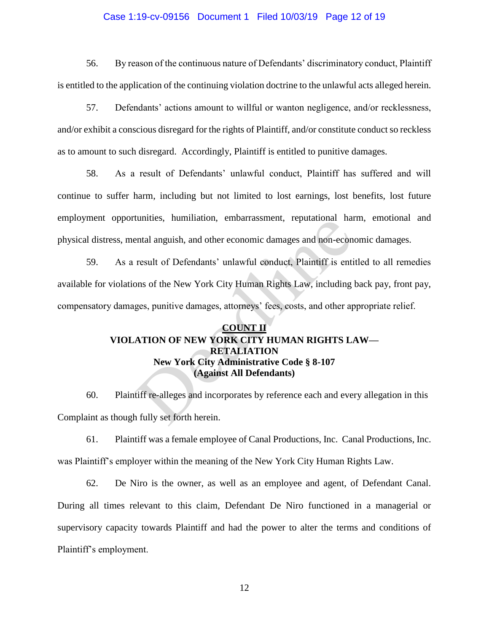#### Case 1:19-cv-09156 Document 1 Filed 10/03/19 Page 12 of 19

56. By reason of the continuous nature of Defendants' discriminatory conduct, Plaintiff is entitled to the application of the continuing violation doctrine to the unlawful acts alleged herein.

57. Defendants' actions amount to willful or wanton negligence, and/or recklessness, and/or exhibit a conscious disregard for the rights of Plaintiff, and/or constitute conduct so reckless as to amount to such disregard. Accordingly, Plaintiff is entitled to punitive damages.

58. As a result of Defendants' unlawful conduct, Plaintiff has suffered and will continue to suffer harm, including but not limited to lost earnings, lost benefits, lost future employment opportunities, humiliation, embarrassment, reputational harm, emotional and physical distress, mental anguish, and other economic damages and non-economic damages.

59. As a result of Defendants' unlawful conduct, Plaintiff is entitled to all remedies available for violations of the New York City Human Rights Law, including back pay, front pay, compensatory damages, punitive damages, attorneys' fees, costs, and other appropriate relief.

# **COUNT II VIOLATION OF NEW YORK CITY HUMAN RIGHTS LAW— RETALIATION New York City Administrative Code § 8-107 (Against All Defendants)** transference and non-economic damages and non-economic damages and non-economic damages and non-economic of Defendants' unlawful conduct, Plaintiff is entions of the New York City Human Rights Law, including ges, punitive

60. Plaintiff re-alleges and incorporates by reference each and every allegation in this Complaint as though fully set forth herein.

61. Plaintiff was a female employee of Canal Productions, Inc. Canal Productions, Inc. was Plaintiff's employer within the meaning of the New York City Human Rights Law.

62. De Niro is the owner, as well as an employee and agent, of Defendant Canal. During all times relevant to this claim, Defendant De Niro functioned in a managerial or supervisory capacity towards Plaintiff and had the power to alter the terms and conditions of Plaintiff's employment.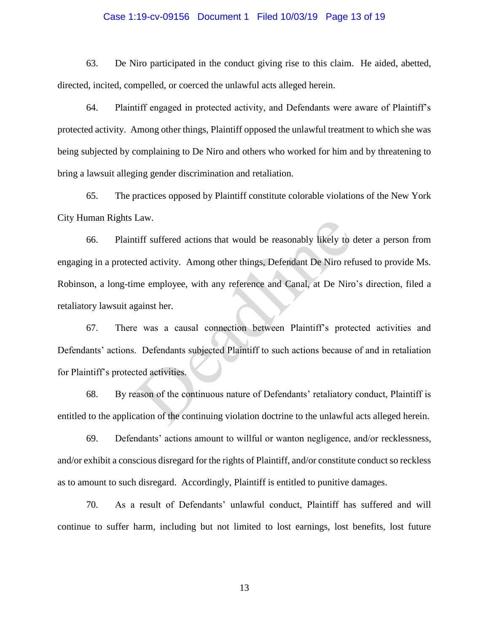#### Case 1:19-cv-09156 Document 1 Filed 10/03/19 Page 13 of 19

63. De Niro participated in the conduct giving rise to this claim. He aided, abetted, directed, incited, compelled, or coerced the unlawful acts alleged herein.

64. Plaintiff engaged in protected activity, and Defendants were aware of Plaintiff's protected activity. Among other things, Plaintiff opposed the unlawful treatment to which she was being subjected by complaining to De Niro and others who worked for him and by threatening to bring a lawsuit alleging gender discrimination and retaliation.

65. The practices opposed by Plaintiff constitute colorable violations of the New York City Human Rights Law.

66. Plaintiff suffered actions that would be reasonably likely to deter a person from engaging in a protected activity. Among other things, Defendant De Niro refused to provide Ms. Robinson, a long-time employee, with any reference and Canal, at De Niro's direction, filed a retaliatory lawsuit against her. Law.<br>
tiff suffered actions that would be reasonably likely to exercise the activity. Among other things, Defendant De Niro ref<br>
me employee, with any reference and Canal, at De Niro<br>
gainst her.<br>
e was a causal connection

67. There was a causal connection between Plaintiff's protected activities and Defendants' actions. Defendants subjected Plaintiff to such actions because of and in retaliation for Plaintiff's protected activities.

68. By reason of the continuous nature of Defendants' retaliatory conduct, Plaintiff is entitled to the application of the continuing violation doctrine to the unlawful acts alleged herein.

69. Defendants' actions amount to willful or wanton negligence, and/or recklessness, and/or exhibit a conscious disregard for the rights of Plaintiff, and/or constitute conduct so reckless as to amount to such disregard. Accordingly, Plaintiff is entitled to punitive damages.

70. As a result of Defendants' unlawful conduct, Plaintiff has suffered and will continue to suffer harm, including but not limited to lost earnings, lost benefits, lost future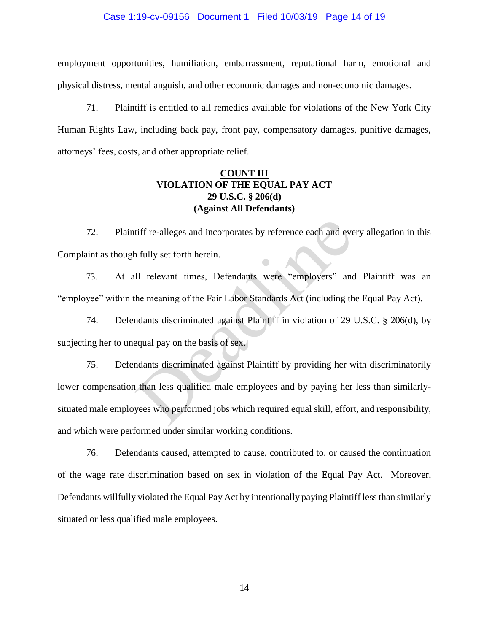#### Case 1:19-cv-09156 Document 1 Filed 10/03/19 Page 14 of 19

employment opportunities, humiliation, embarrassment, reputational harm, emotional and physical distress, mental anguish, and other economic damages and non-economic damages.

71. Plaintiff is entitled to all remedies available for violations of the New York City Human Rights Law, including back pay, front pay, compensatory damages, punitive damages, attorneys' fees, costs, and other appropriate relief.

# **COUNT III VIOLATION OF THE EQUAL PAY ACT 29 U.S.C. § 206(d) (Against All Defendants)**

72. Plaintiff re-alleges and incorporates by reference each and every allegation in this Complaint as though fully set forth herein.

73. At all relevant times, Defendants were "employers" and Plaintiff was an "employee" within the meaning of the Fair Labor Standards Act (including the Equal Pay Act).

74. Defendants discriminated against Plaintiff in violation of 29 U.S.C. § 206(d), by subjecting her to unequal pay on the basis of sex.

75. Defendants discriminated against Plaintiff by providing her with discriminatorily lower compensation than less qualified male employees and by paying her less than similarlysituated male employees who performed jobs which required equal skill, effort, and responsibility, and which were performed under similar working conditions. tiff re-alleges and incorporates by reference each and even fully set forth herein.<br>
Il relevant times, Defendants were "employers" and<br>
the meaning of the Fair Labor Standards Act (including th<br>
mdants discriminated again

76. Defendants caused, attempted to cause, contributed to, or caused the continuation of the wage rate discrimination based on sex in violation of the Equal Pay Act. Moreover, Defendants willfully violated the Equal Pay Act by intentionally paying Plaintiff less than similarly situated or less qualified male employees.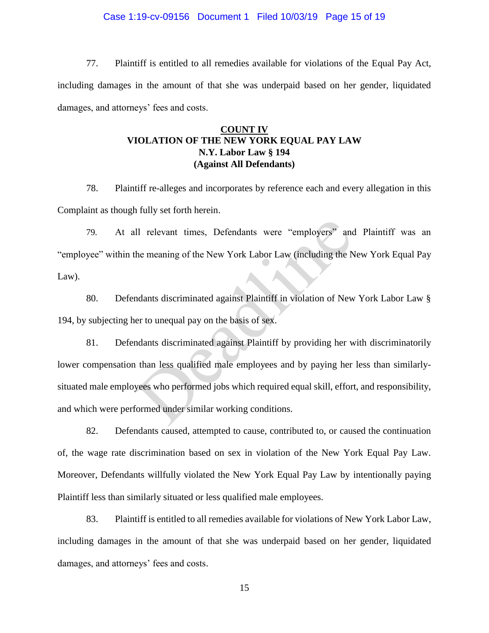#### Case 1:19-cv-09156 Document 1 Filed 10/03/19 Page 15 of 19

77. Plaintiff is entitled to all remedies available for violations of the Equal Pay Act, including damages in the amount of that she was underpaid based on her gender, liquidated damages, and attorneys' fees and costs.

# **COUNT IV VIOLATION OF THE NEW YORK EQUAL PAY LAW N.Y. Labor Law § 194 (Against All Defendants)**

78. Plaintiff re-alleges and incorporates by reference each and every allegation in this Complaint as though fully set forth herein.

79. At all relevant times, Defendants were "employers" and Plaintiff was an "employee" within the meaning of the New York Labor Law (including the New York Equal Pay Law).

80. Defendants discriminated against Plaintiff in violation of New York Labor Law § 194, by subjecting her to unequal pay on the basis of sex.

81. Defendants discriminated against Plaintiff by providing her with discriminatorily lower compensation than less qualified male employees and by paying her less than similarlysituated male employees who performed jobs which required equal skill, effort, and responsibility, and which were performed under similar working conditions. Il relevant times, Defendants were "employers" and<br>the meaning of the New York Labor Law (including the N<br>mdants discriminated against Plaintiff in violation of New<br>er to unequal pay on the basis of sex.<br>mdants discriminat

82. Defendants caused, attempted to cause, contributed to, or caused the continuation of, the wage rate discrimination based on sex in violation of the New York Equal Pay Law. Moreover, Defendants willfully violated the New York Equal Pay Law by intentionally paying Plaintiff less than similarly situated or less qualified male employees.

83. Plaintiff is entitled to all remedies available for violations of New York Labor Law, including damages in the amount of that she was underpaid based on her gender, liquidated damages, and attorneys' fees and costs.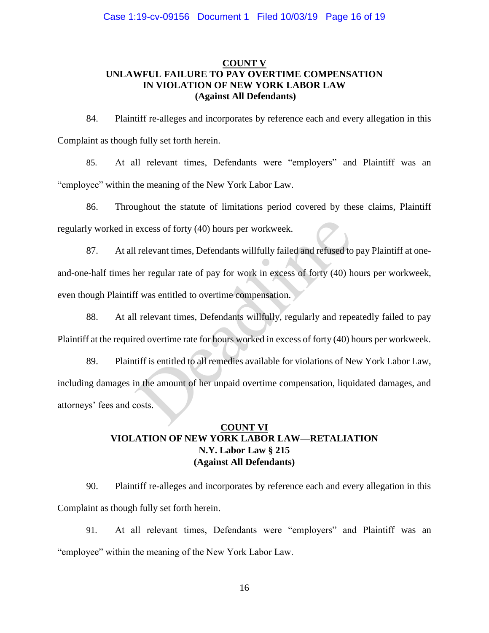# **COUNT V UNLAWFUL FAILURE TO PAY OVERTIME COMPENSATION IN VIOLATION OF NEW YORK LABOR LAW (Against All Defendants)**

84. Plaintiff re-alleges and incorporates by reference each and every allegation in this Complaint as though fully set forth herein.

85. At all relevant times, Defendants were "employers" and Plaintiff was an "employee" within the meaning of the New York Labor Law.

86. Throughout the statute of limitations period covered by these claims, Plaintiff regularly worked in excess of forty (40) hours per workweek.

87. At all relevant times, Defendants willfully failed and refused to pay Plaintiff at oneand-one-half times her regular rate of pay for work in excess of forty (40) hours per workweek, even though Plaintiff was entitled to overtime compensation. excess of forty (40) hours per workweek.<br>
I relevant times, Defendants willfully failed and refused to<br>
ner regular rate of pay for work in excess of forty (40) h<br>
if was entitled to overtime compensation.<br>
I relevant time

88. At all relevant times, Defendants willfully, regularly and repeatedly failed to pay Plaintiff at the required overtime rate for hours worked in excess of forty (40) hours per workweek.

89. Plaintiff is entitled to all remedies available for violations of New York Labor Law, including damages in the amount of her unpaid overtime compensation, liquidated damages, and attorneys' fees and costs.

# **COUNT VI VIOLATION OF NEW YORK LABOR LAW—RETALIATION N.Y. Labor Law § 215 (Against All Defendants)**

90. Plaintiff re-alleges and incorporates by reference each and every allegation in this Complaint as though fully set forth herein.

91. At all relevant times, Defendants were "employers" and Plaintiff was an "employee" within the meaning of the New York Labor Law.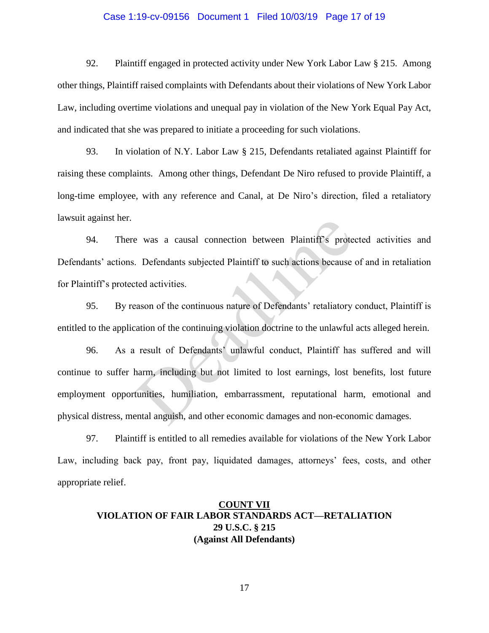#### Case 1:19-cv-09156 Document 1 Filed 10/03/19 Page 17 of 19

92. Plaintiff engaged in protected activity under New York Labor Law § 215. Among other things, Plaintiff raised complaints with Defendants about their violations of New York Labor Law, including overtime violations and unequal pay in violation of the New York Equal Pay Act, and indicated that she was prepared to initiate a proceeding for such violations.

93. In violation of N.Y. Labor Law § 215, Defendants retaliated against Plaintiff for raising these complaints. Among other things, Defendant De Niro refused to provide Plaintiff, a long-time employee, with any reference and Canal, at De Niro's direction, filed a retaliatory lawsuit against her.

94. There was a causal connection between Plaintiff's protected activities and Defendants' actions. Defendants subjected Plaintiff to such actions because of and in retaliation for Plaintiff's protected activities.

95. By reason of the continuous nature of Defendants' retaliatory conduct, Plaintiff is entitled to the application of the continuing violation doctrine to the unlawful acts alleged herein.

96. As a result of Defendants' unlawful conduct, Plaintiff has suffered and will continue to suffer harm, including but not limited to lost earnings, lost benefits, lost future employment opportunities, humiliation, embarrassment, reputational harm, emotional and physical distress, mental anguish, and other economic damages and non-economic damages. e was a causal connection between Plaintiff's prote<br>
Defendants subjected Plaintiff to such actions because<br>
ted activities.<br>
Example of Defendants' retaliatory<br>
terman of the continuous nature of Defendants' retaliatory<br>

97. Plaintiff is entitled to all remedies available for violations of the New York Labor Law, including back pay, front pay, liquidated damages, attorneys' fees, costs, and other appropriate relief.

# **COUNT VII VIOLATION OF FAIR LABOR STANDARDS ACT—RETALIATION 29 U.S.C. § 215 (Against All Defendants)**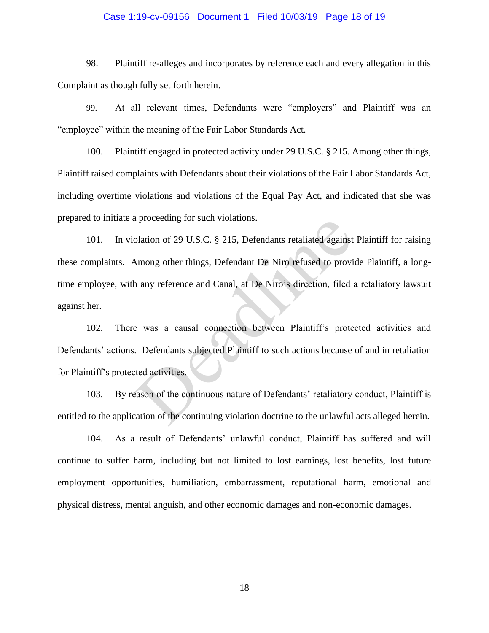#### Case 1:19-cv-09156 Document 1 Filed 10/03/19 Page 18 of 19

98. Plaintiff re-alleges and incorporates by reference each and every allegation in this Complaint as though fully set forth herein.

99. At all relevant times, Defendants were "employers" and Plaintiff was an "employee" within the meaning of the Fair Labor Standards Act.

100. Plaintiff engaged in protected activity under 29 U.S.C. § 215. Among other things, Plaintiff raised complaints with Defendants about their violations of the Fair Labor Standards Act, including overtime violations and violations of the Equal Pay Act, and indicated that she was prepared to initiate a proceeding for such violations.

101. In violation of 29 U.S.C. § 215, Defendants retaliated against Plaintiff for raising these complaints. Among other things, Defendant De Niro refused to provide Plaintiff, a longtime employee, with any reference and Canal, at De Niro's direction, filed a retaliatory lawsuit against her. plation of 29 U.S.C. § 215, Defendants retaliated against<br>Monog other things, Defendant De Niro refused to provident<br>any reference and Canal, at De Niro's direction, filed and<br>any reference and Canal, at De Niro's directio

102. There was a causal connection between Plaintiff's protected activities and Defendants' actions. Defendants subjected Plaintiff to such actions because of and in retaliation for Plaintiff's protected activities.

103. By reason of the continuous nature of Defendants' retaliatory conduct, Plaintiff is entitled to the application of the continuing violation doctrine to the unlawful acts alleged herein.

104. As a result of Defendants' unlawful conduct, Plaintiff has suffered and will continue to suffer harm, including but not limited to lost earnings, lost benefits, lost future employment opportunities, humiliation, embarrassment, reputational harm, emotional and physical distress, mental anguish, and other economic damages and non-economic damages.